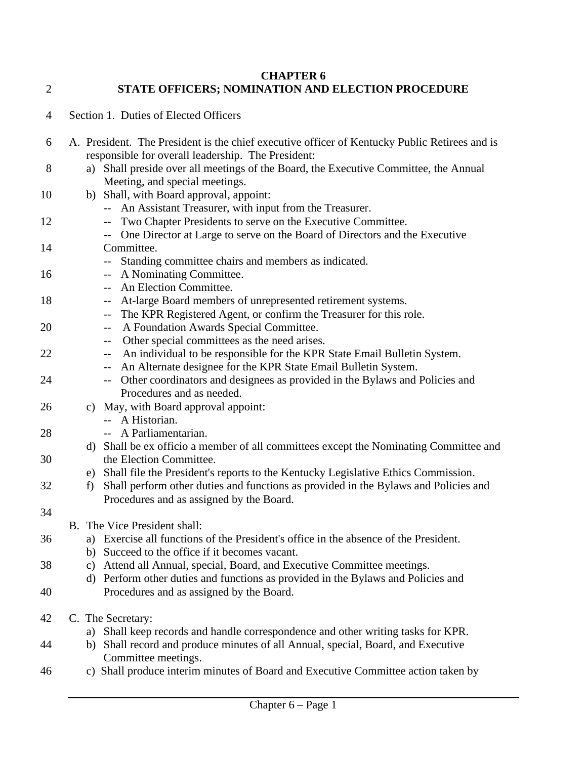## **CHAPTER 6** 2 **STATE OFFICERS; NOMINATION AND ELECTION PROCEDURE**

6 A. President. The President is the chief executive officer of Kentucky Public Retirees and is

4 Section 1. Duties of Elected Officers

|    |    | responsible for overall leadership. The President:                                   |
|----|----|--------------------------------------------------------------------------------------|
| 8  | a) | Shall preside over all meetings of the Board, the Executive Committee, the Annual    |
|    |    | Meeting, and special meetings.                                                       |
| 10 |    | b) Shall, with Board approval, appoint:                                              |
|    |    | An Assistant Treasurer, with input from the Treasurer.                               |
| 12 |    | Two Chapter Presidents to serve on the Executive Committee.<br>-−                    |
|    |    | One Director at Large to serve on the Board of Directors and the Executive           |
| 14 |    | Committee.                                                                           |
|    |    | Standing committee chairs and members as indicated.                                  |
| 16 |    | A Nominating Committee.<br>$-$                                                       |
|    |    | An Election Committee.<br>$- -$                                                      |
| 18 |    | At-large Board members of unrepresented retirement systems.<br>--                    |
|    |    | The KPR Registered Agent, or confirm the Treasurer for this role.<br>--              |
| 20 |    | A Foundation Awards Special Committee.<br>--                                         |
|    |    | Other special committees as the need arises.<br>$--$                                 |
| 22 |    | An individual to be responsible for the KPR State Email Bulletin System.<br>$--$     |
|    |    | An Alternate designee for the KPR State Email Bulletin System.<br>--                 |
| 24 |    | Other coordinators and designees as provided in the Bylaws and Policies and<br>$- -$ |
|    |    | Procedures and as needed.                                                            |
| 26 |    | c) May, with Board approval appoint:                                                 |
|    |    | -- A Historian.                                                                      |
| 28 |    | A Parliamentarian.                                                                   |
|    | d) | Shall be ex officio a member of all committees except the Nominating Committee and   |
| 30 |    | the Election Committee.                                                              |
|    |    | e) Shall file the President's reports to the Kentucky Legislative Ethics Commission. |
| 32 | f  | Shall perform other duties and functions as provided in the Bylaws and Policies and  |
|    |    | Procedures and as assigned by the Board.                                             |
| 34 |    |                                                                                      |
|    |    | B. The Vice President shall:                                                         |
| 36 |    | a) Exercise all functions of the President's office in the absence of the President. |
|    |    | b) Succeed to the office if it becomes vacant.                                       |
| 38 | c) | Attend all Annual, special, Board, and Executive Committee meetings.                 |
|    |    | d) Perform other duties and functions as provided in the Bylaws and Policies and     |
| 40 |    | Procedures and as assigned by the Board.                                             |
|    |    |                                                                                      |
| 42 |    | C. The Secretary:                                                                    |
|    | a) | Shall keep records and handle correspondence and other writing tasks for KPR.        |
| 44 |    | b) Shall record and produce minutes of all Annual, special, Board, and Executive     |
|    |    | Committee meetings.                                                                  |
| 46 |    | c) Shall produce interim minutes of Board and Executive Committee action taken by    |
|    |    |                                                                                      |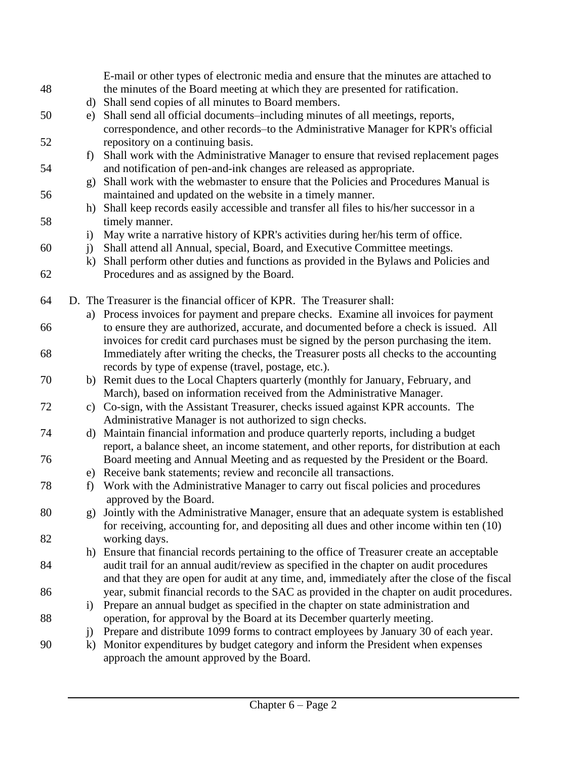|    |              | E-mail or other types of electronic media and ensure that the minutes are attached to        |
|----|--------------|----------------------------------------------------------------------------------------------|
| 48 |              | the minutes of the Board meeting at which they are presented for ratification.               |
|    | d)           | Shall send copies of all minutes to Board members.                                           |
| 50 | e)           | Shall send all official documents-including minutes of all meetings, reports,                |
|    |              | correspondence, and other records-to the Administrative Manager for KPR's official           |
| 52 |              | repository on a continuing basis.                                                            |
|    | f            | Shall work with the Administrative Manager to ensure that revised replacement pages          |
| 54 |              | and notification of pen-and-ink changes are released as appropriate.                         |
|    | $\mathbf{g}$ | Shall work with the webmaster to ensure that the Policies and Procedures Manual is           |
| 56 |              | maintained and updated on the website in a timely manner.                                    |
|    | h)           | Shall keep records easily accessible and transfer all files to his/her successor in a        |
| 58 |              | timely manner.                                                                               |
|    | $\mathbf{i}$ | May write a narrative history of KPR's activities during her/his term of office.             |
| 60 | $\mathbf{j}$ | Shall attend all Annual, special, Board, and Executive Committee meetings.                   |
|    | $\bf k)$     | Shall perform other duties and functions as provided in the Bylaws and Policies and          |
| 62 |              | Procedures and as assigned by the Board.                                                     |
|    |              |                                                                                              |
| 64 |              | D. The Treasurer is the financial officer of KPR. The Treasurer shall:                       |
|    |              | a) Process invoices for payment and prepare checks. Examine all invoices for payment         |
| 66 |              | to ensure they are authorized, accurate, and documented before a check is issued. All        |
|    |              | invoices for credit card purchases must be signed by the person purchasing the item.         |
| 68 |              | Immediately after writing the checks, the Treasurer posts all checks to the accounting       |
|    |              | records by type of expense (travel, postage, etc.).                                          |
| 70 |              | b) Remit dues to the Local Chapters quarterly (monthly for January, February, and            |
|    |              | March), based on information received from the Administrative Manager.                       |
| 72 |              | c) Co-sign, with the Assistant Treasurer, checks issued against KPR accounts. The            |
|    |              | Administrative Manager is not authorized to sign checks.                                     |
| 74 | d)           | Maintain financial information and produce quarterly reports, including a budget             |
|    |              | report, a balance sheet, an income statement, and other reports, for distribution at each    |
| 76 |              | Board meeting and Annual Meeting and as requested by the President or the Board.             |
|    |              | e) Receive bank statements; review and reconcile all transactions.                           |
| 78 | f)           | Work with the Administrative Manager to carry out fiscal policies and procedures             |
|    |              | approved by the Board.                                                                       |
| 80 | g)           | Jointly with the Administrative Manager, ensure that an adequate system is established       |
|    |              | for receiving, accounting for, and depositing all dues and other income within ten (10)      |
| 82 |              | working days.                                                                                |
|    |              | h) Ensure that financial records pertaining to the office of Treasurer create an acceptable  |
| 84 |              | audit trail for an annual audit/review as specified in the chapter on audit procedures       |
|    |              | and that they are open for audit at any time, and, immediately after the close of the fiscal |
| 86 |              | year, submit financial records to the SAC as provided in the chapter on audit procedures.    |
|    | $\rm i)$     | Prepare an annual budget as specified in the chapter on state administration and             |
| 88 |              | operation, for approval by the Board at its December quarterly meeting.                      |
|    | $\mathbf{j}$ | Prepare and distribute 1099 forms to contract employees by January 30 of each year.          |
| 90 | $\bf k)$     | Monitor expenditures by budget category and inform the President when expenses               |
|    |              | approach the amount approved by the Board.                                                   |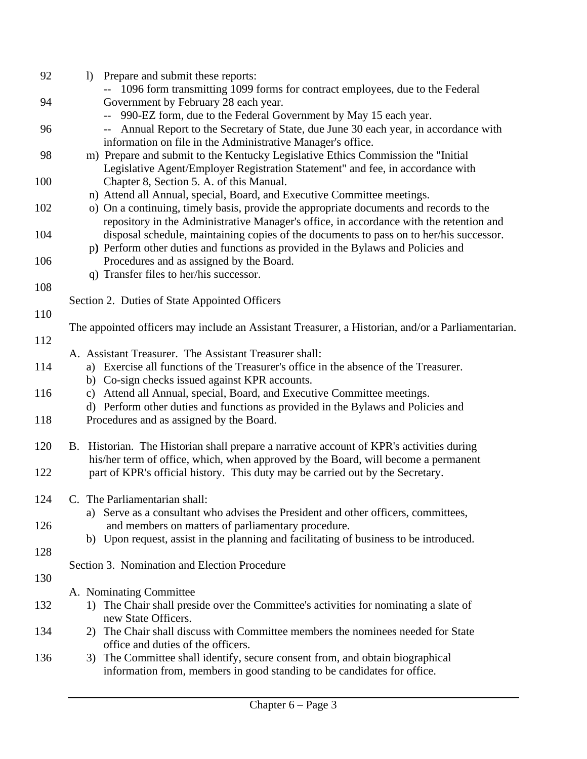| 92  | Prepare and submit these reports:<br>$\left  \right\rangle$                                       |
|-----|---------------------------------------------------------------------------------------------------|
|     | -- 1096 form transmitting 1099 forms for contract employees, due to the Federal                   |
| 94  | Government by February 28 each year.                                                              |
|     | 990-EZ form, due to the Federal Government by May 15 each year.                                   |
| 96  | -- Annual Report to the Secretary of State, due June 30 each year, in accordance with             |
|     | information on file in the Administrative Manager's office.                                       |
| 98  | m) Prepare and submit to the Kentucky Legislative Ethics Commission the "Initial                  |
|     | Legislative Agent/Employer Registration Statement" and fee, in accordance with                    |
| 100 | Chapter 8, Section 5. A. of this Manual.                                                          |
|     | n) Attend all Annual, special, Board, and Executive Committee meetings.                           |
| 102 | o) On a continuing, timely basis, provide the appropriate documents and records to the            |
|     | repository in the Administrative Manager's office, in accordance with the retention and           |
| 104 | disposal schedule, maintaining copies of the documents to pass on to her/his successor.           |
|     | p) Perform other duties and functions as provided in the Bylaws and Policies and                  |
| 106 | Procedures and as assigned by the Board.                                                          |
|     | q) Transfer files to her/his successor.                                                           |
| 108 |                                                                                                   |
|     | Section 2. Duties of State Appointed Officers                                                     |
| 110 |                                                                                                   |
|     | The appointed officers may include an Assistant Treasurer, a Historian, and/or a Parliamentarian. |
| 112 |                                                                                                   |
|     | A. Assistant Treasurer. The Assistant Treasurer shall:                                            |
| 114 | a) Exercise all functions of the Treasurer's office in the absence of the Treasurer.              |
|     | b) Co-sign checks issued against KPR accounts.                                                    |
| 116 | Attend all Annual, special, Board, and Executive Committee meetings.<br>C)                        |
|     | d) Perform other duties and functions as provided in the Bylaws and Policies and                  |
| 118 | Procedures and as assigned by the Board.                                                          |
|     |                                                                                                   |
| 120 | B. Historian. The Historian shall prepare a narrative account of KPR's activities during          |
|     | his/her term of office, which, when approved by the Board, will become a permanent                |
| 122 | part of KPR's official history. This duty may be carried out by the Secretary.                    |
| 124 | C. The Parliamentarian shall:                                                                     |
|     | a) Serve as a consultant who advises the President and other officers, committees,                |
| 126 | and members on matters of parliamentary procedure.                                                |
|     | b) Upon request, assist in the planning and facilitating of business to be introduced.            |
| 128 |                                                                                                   |
|     | Section 3. Nomination and Election Procedure                                                      |
| 130 |                                                                                                   |
|     | A. Nominating Committee                                                                           |
| 132 | 1) The Chair shall preside over the Committee's activities for nominating a slate of              |
|     | new State Officers.                                                                               |
| 134 | 2) The Chair shall discuss with Committee members the nominees needed for State                   |
|     | office and duties of the officers.                                                                |
| 136 | 3) The Committee shall identify, secure consent from, and obtain biographical                     |
|     | information from, members in good standing to be candidates for office.                           |
|     |                                                                                                   |